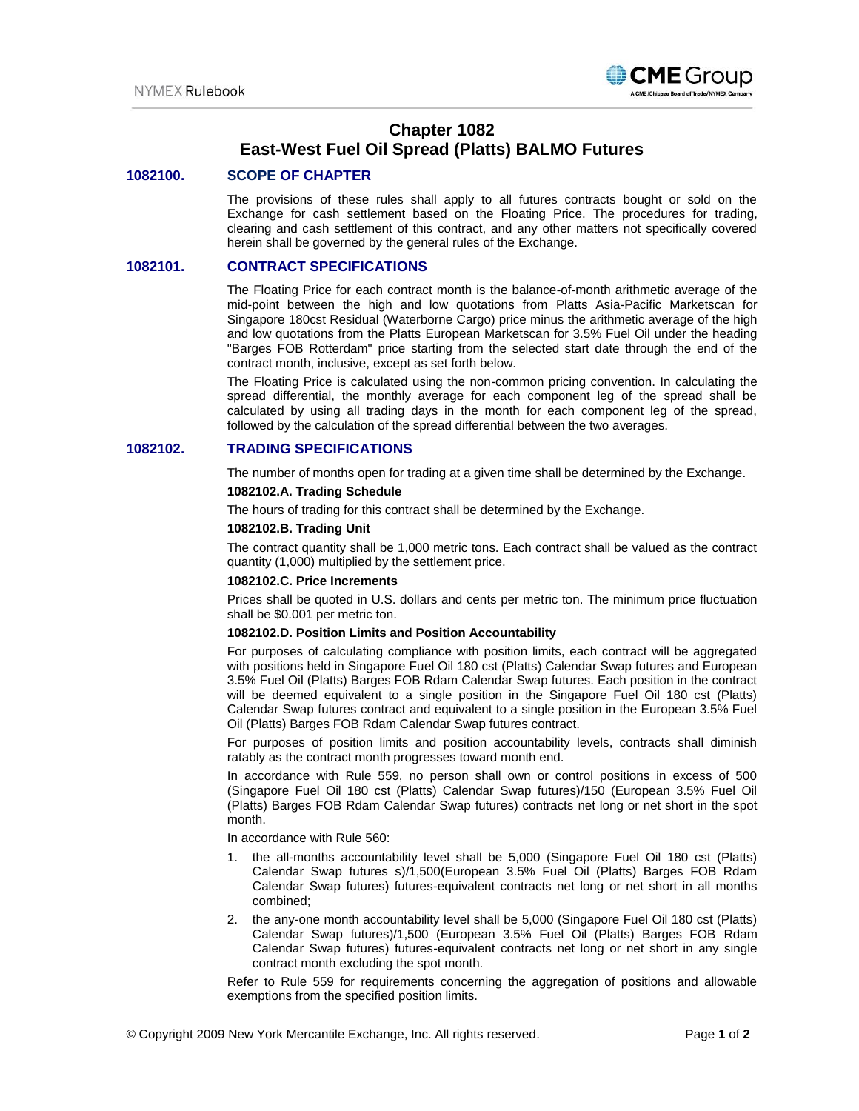

# **Chapter 1082 East-West Fuel Oil Spread (Platts) BALMO Futures**

## **1082100. SCOPE OF CHAPTER**

The provisions of these rules shall apply to all futures contracts bought or sold on the Exchange for cash settlement based on the Floating Price. The procedures for trading, clearing and cash settlement of this contract, and any other matters not specifically covered herein shall be governed by the general rules of the Exchange.

### **1082101. CONTRACT SPECIFICATIONS**

The Floating Price for each contract month is the balance-of-month arithmetic average of the mid-point between the high and low quotations from Platts Asia-Pacific Marketscan for Singapore 180cst Residual (Waterborne Cargo) price minus the arithmetic average of the high and low quotations from the Platts European Marketscan for 3.5% Fuel Oil under the heading "Barges FOB Rotterdam" price starting from the selected start date through the end of the contract month, inclusive, except as set forth below.

The Floating Price is calculated using the non-common pricing convention. In calculating the spread differential, the monthly average for each component leg of the spread shall be calculated by using all trading days in the month for each component leg of the spread, followed by the calculation of the spread differential between the two averages.

# **1082102. TRADING SPECIFICATIONS**

The number of months open for trading at a given time shall be determined by the Exchange.

## **1082102.A. Trading Schedule**

The hours of trading for this contract shall be determined by the Exchange.

#### **1082102.B. Trading Unit**

The contract quantity shall be 1,000 metric tons. Each contract shall be valued as the contract quantity (1,000) multiplied by the settlement price.

#### **1082102.C. Price Increments**

Prices shall be quoted in U.S. dollars and cents per metric ton. The minimum price fluctuation shall be \$0.001 per metric ton.

### **1082102.D. Position Limits and Position Accountability**

For purposes of calculating compliance with position limits, each contract will be aggregated with positions held in Singapore Fuel Oil 180 cst (Platts) Calendar Swap futures and European 3.5% Fuel Oil (Platts) Barges FOB Rdam Calendar Swap futures. Each position in the contract will be deemed equivalent to a single position in the Singapore Fuel Oil 180 cst (Platts) Calendar Swap futures contract and equivalent to a single position in the European 3.5% Fuel Oil (Platts) Barges FOB Rdam Calendar Swap futures contract.

For purposes of position limits and position accountability levels, contracts shall diminish ratably as the contract month progresses toward month end.

In accordance with Rule 559, no person shall own or control positions in excess of 500 (Singapore Fuel Oil 180 cst (Platts) Calendar Swap futures)/150 (European 3.5% Fuel Oil (Platts) Barges FOB Rdam Calendar Swap futures) contracts net long or net short in the spot month.

In accordance with Rule 560:

- 1. the all-months accountability level shall be 5,000 (Singapore Fuel Oil 180 cst (Platts) Calendar Swap futures s)/1,500(European 3.5% Fuel Oil (Platts) Barges FOB Rdam Calendar Swap futures) futures-equivalent contracts net long or net short in all months combined;
- 2. the any-one month accountability level shall be 5,000 (Singapore Fuel Oil 180 cst (Platts) Calendar Swap futures)/1,500 (European 3.5% Fuel Oil (Platts) Barges FOB Rdam Calendar Swap futures) futures-equivalent contracts net long or net short in any single contract month excluding the spot month.

Refer to Rule 559 for requirements concerning the aggregation of positions and allowable exemptions from the specified position limits.